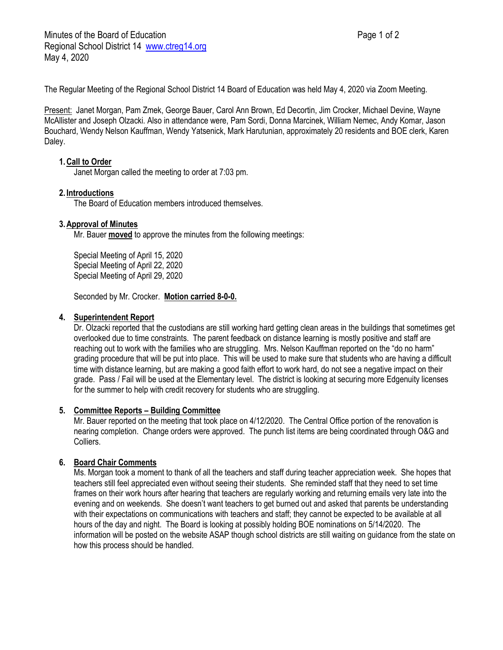The Regular Meeting of the Regional School District 14 Board of Education was held May 4, 2020 via Zoom Meeting.

Present: Janet Morgan, Pam Zmek, George Bauer, Carol Ann Brown, Ed Decortin, Jim Crocker, Michael Devine, Wayne McAllister and Joseph Olzacki. Also in attendance were, Pam Sordi, Donna Marcinek, William Nemec, Andy Komar, Jason Bouchard, Wendy Nelson Kauffman, Wendy Yatsenick, Mark Harutunian, approximately 20 residents and BOE clerk, Karen Daley.

## **1.Call to Order**

Janet Morgan called the meeting to order at 7:03 pm.

### **2. Introductions**

The Board of Education members introduced themselves.

### **3.Approval of Minutes**

Mr. Bauer **moved** to approve the minutes from the following meetings:

Special Meeting of April 15, 2020 Special Meeting of April 22, 2020 Special Meeting of April 29, 2020

Seconded by Mr. Crocker. **Motion carried 8-0-0.**

## **4. Superintendent Report**

Dr. Olzacki reported that the custodians are still working hard getting clean areas in the buildings that sometimes get overlooked due to time constraints. The parent feedback on distance learning is mostly positive and staff are reaching out to work with the families who are struggling. Mrs. Nelson Kauffman reported on the "do no harm" grading procedure that will be put into place. This will be used to make sure that students who are having a difficult time with distance learning, but are making a good faith effort to work hard, do not see a negative impact on their grade. Pass / Fail will be used at the Elementary level. The district is looking at securing more Edgenuity licenses for the summer to help with credit recovery for students who are struggling.

### **5. Committee Reports – Building Committee**

Mr. Bauer reported on the meeting that took place on 4/12/2020. The Central Office portion of the renovation is nearing completion. Change orders were approved. The punch list items are being coordinated through O&G and Colliers.

# **6. Board Chair Comments**

Ms. Morgan took a moment to thank of all the teachers and staff during teacher appreciation week. She hopes that teachers still feel appreciated even without seeing their students. She reminded staff that they need to set time frames on their work hours after hearing that teachers are regularly working and returning emails very late into the evening and on weekends. She doesn't want teachers to get burned out and asked that parents be understanding with their expectations on communications with teachers and staff; they cannot be expected to be available at all hours of the day and night. The Board is looking at possibly holding BOE nominations on 5/14/2020. The information will be posted on the website ASAP though school districts are still waiting on guidance from the state on how this process should be handled.